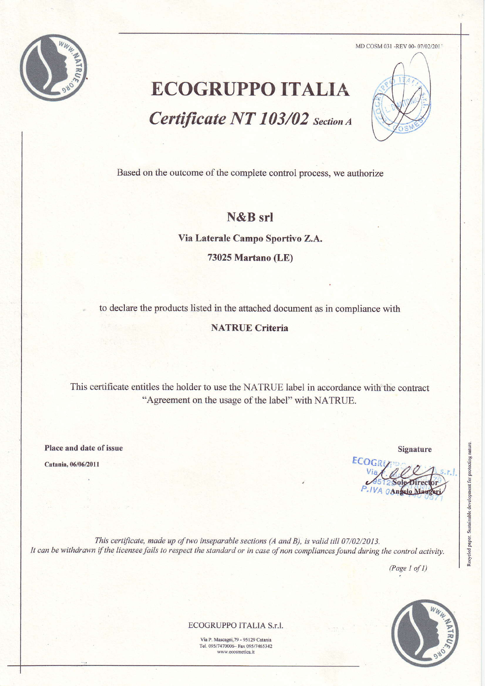

MD COSM 031 -REV 00- 07/02/2011

# **ECOGRUPPO ITALIA** Certificate NT 103/02 Section A



Based on the outcome of the complete control process, we authorize

### N&B srl

Via Laterale Campo Sportivo Z.A.

73025 Martano (LE)

to declare the products listed in the attached document as in compliance with

#### **NATRUE Criteria**

This certificate entitles the holder to use the NATRUE label in accordance with the contract "Agreement on the usage of the label" with NATRUE.

Place and date of issue

Catania, 06/06/2011

**Signature** 

Recycled paper. Sustainable development for protecting nature.

ECOGR IVA OAngelo Mauge

This certificate, made up of two inseparable sections (A and B), is valid till 07/02/2013. It can be withdrawn if the licensee fails to respect the standard or in case of non compliances found during the control activity.

 $(Page 1 of 1)$ 



ECOGRUPPO ITALIA S.r.l.

Via P. Mascagni, 79 - 95129 Catania Tel. 095/7470006- Fax 095/7465342 www.ecosmetica.it